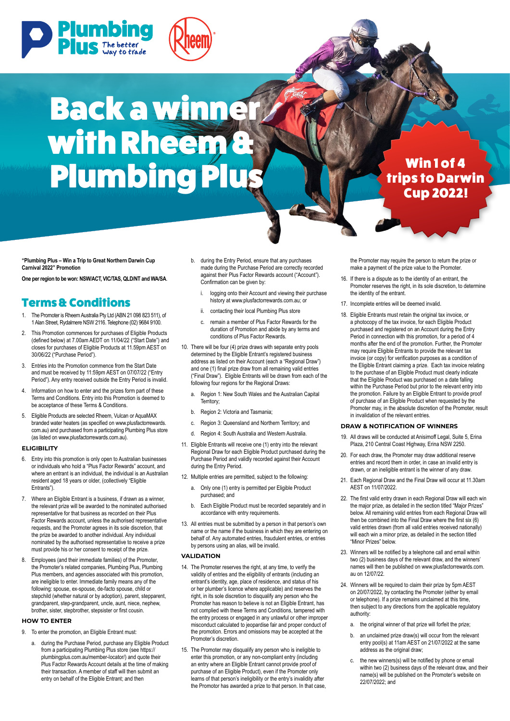



# Back a winner with Rheem a Plumbing Plus Win 1 of 4

## trips to Darwin Cup 2022!

**"Plumbing Plus – Win a Trip to Great Northern Darwin Cup Carnival 2022" Promotion**

**One per region to be won: NSW/ACT, VIC/TAS, QLD/NT and WA/SA**.

### Terms & Conditions

- 1. The Promoter is Rheem Australia Pty Ltd (ABN 21 098 823 511), of 1 Alan Street, Rydalmere NSW 2116. Telephone (02) 9684 9100.
- 2. This Promotion commences for purchases of Eligible Products (defined below) at 7.00am AEDT on 11/04/22 ("Start Date") and closes for purchases of Eligible Products at 11.59pm AEST on 30/06/22 ("Purchase Period").
- 3. Entries into the Promotion commence from the Start Date and must be received by 11:59pm AEST on 07/07/22 ("Entry Period"). Any entry received outside the Entry Period is invalid.
- 4. Information on how to enter and the prizes form part of these Terms and Conditions. Entry into this Promotion is deemed to be acceptance of these Terms & Conditions.
- 5. Eligible Products are selected Rheem, Vulcan or AquaMAX branded water heaters (as specified on www.plusfactorrewards. com.au) and purchased from a participating Plumbing Plus store (as listed on www.plusfactorrewards.com.au).

#### **ELIGIBILITY**

- 6. Entry into this promotion is only open to Australian businesses or individuals who hold a "Plus Factor Rewards" account, and where an entrant is an individual, the individual is an Australian resident aged 18 years or older, (collectively "Eligible Entrants").
- 7. Where an Eligible Entrant is a business, if drawn as a winner, the relevant prize will be awarded to the nominated authorised representative for that business as recorded on their Plus Factor Rewards account, unless the authorised representative requests, and the Promoter agrees in its sole discretion, that the prize be awarded to another individual. Any individual nominated by the authorised representative to receive a prize must provide his or her consent to receipt of the prize.
- 8. Employees (and their immediate families) of the Promoter, the Promoter's related companies, Plumbing Plus, Plumbing Plus members, and agencies associated with this promotion, are ineligible to enter. Immediate family means any of the following: spouse, ex-spouse, de-facto spouse, child or stepchild (whether natural or by adoption), parent, stepparent, grandparent, step-grandparent, uncle, aunt, niece, nephew, brother, sister, stepbrother, stepsister or first cousin.

#### **HOW TO ENTER**

- 9. To enter the promotion, an Eligible Entrant must:
	- a. during the Purchase Period, purchase any Eligible Product from a participating Plumbing Plus store (see https:// plumbingplus.com.au/member-locator/) and quote their Plus Factor Rewards Account details at the time of making their transaction. A member of staff will then submit an entry on behalf of the Eligible Entrant; and then
- b. during the Entry Period, ensure that any purchases made during the Purchase Period are correctly recorded against their Plus Factor Rewards account ("Account"). Confirmation can be given by:
	- logging onto their Account and viewing their purchase history at www.plusfactorrewards.com.au; or
	- ii. contacting their local Plumbing Plus store
	- c. remain a member of Plus Factor Rewards for the duration of Promotion and abide by any terms and conditions of Plus Factor Rewards.
- 10. There will be four (4) prize draws with separate entry pools determined by the Eligible Entrant's registered business address as listed on their Account (each a "Regional Draw") and one (1) final prize draw from all remaining valid entries ("Final Draw"). Eligible Entrants will be drawn from each of the following four regions for the Regional Draws:
	- Region 1: New South Wales and the Australian Capital Territory;
	- b. Region 2: Victoria and Tasmania:
	- Region 3: Queensland and Northern Territory; and
	- d. Region 4: South Australia and Western Australia.
- 11. Eligible Entrants will receive one (1) entry into the relevant Regional Draw for each Eligible Product purchased during the Purchase Period and validly recorded against their Account during the Entry Period.
- 12. Multiple entries are permitted, subject to the following:
	- a. Only one (1) entry is permitted per Eligible Product purchased; and
	- b. Each Eligible Product must be recorded separately and in accordance with entry requirements.
- 13. All entries must be submitted by a person in that person's own name or the name if the business in which they are entering on behalf of. Any automated entries, fraudulent entries, or entries by persons using an alias, will be invalid.

#### **VALIDATION**

- 14. The Promoter reserves the right, at any time, to verify the validity of entries and the eligibility of entrants (including an entrant's identity, age, place of residence, and status of his or her plumber's licence where applicable) and reserves the right, in its sole discretion to disqualify any person who the Promoter has reason to believe is not an Eligible Entrant, has not complied with these Terms and Conditions, tampered with the entry process or engaged in any unlawful or other improper misconduct calculated to jeopardise fair and proper conduct of the promotion. Errors and omissions may be accepted at the Promoter's discretion.
- 15. The Promoter may disqualify any person who is ineligible to enter this promotion, or any non-compliant entry (including an entry where an Eligible Entrant cannot provide proof of purchase of an Eligible Product), even if the Promoter only learns of that person's ineligibility or the entry's invalidity after the Promotor has awarded a prize to that person. In that case,

the Promoter may require the person to return the prize or make a payment of the prize value to the Promoter.

- 16. If there is a dispute as to the identity of an entrant, the Promoter reserves the right, in its sole discretion, to determine the identity of the entrant.
- 17. Incomplete entries will be deemed invalid.
- 18. Eligible Entrants must retain the original tax invoice, or a photocopy of the tax invoice, for each Eligible Product purchased and registered on an Account during the Entry Period in connection with this promotion, for a period of 4 months after the end of the promotion. Further, the Promoter may require Eligible Entrants to provide the relevant tax invoice (or copy) for verification purposes as a condition of the Eligible Entrant claiming a prize. Each tax invoice relating to the purchase of an Eligible Product must clearly indicate that the Eligible Product was purchased on a date falling within the Purchase Period but prior to the relevant entry into the promotion. Failure by an Eligible Entrant to provide proof of purchase of an Eligible Product when requested by the Promoter may, in the absolute discretion of the Promoter, result in invalidation of the relevant entries.

#### **DRAW & NOTIFICATION OF WINNERS**

- 19. All draws will be conducted at Anisimoff Legal, Suite 5, Erina Plaza, 210 Central Coast Highway, Erina NSW 2250.
- 20. For each draw, the Promoter may draw additional reserve entries and record them in order, in case an invalid entry is drawn, or an ineligible entrant is the winner of any draw.
- 21. Each Regional Draw and the Final Draw will occur at 11.30am AEST on 11/07/2022.
- 22. The first valid entry drawn in each Regional Draw will each win the major prize, as detailed in the section titled "Major Prizes" below. All remaining valid entries from each Regional Draw will then be combined into the Final Draw where the first six (6) valid entries drawn (from all valid entries received nationally) will each win a minor prize, as detailed in the section titled "Minor Prizes" below.
- 23. Winners will be notified by a telephone call and email within two (2) business days of the relevant draw, and the winners' names will then be published on www.plusfactorrewards.com. au on 12/07/22.
- 24. Winners will be required to claim their prize by 5pm AEST on 20/07/2022, by contacting the Promoter (either by email or telephone). If a prize remains unclaimed at this time, then subject to any directions from the applicable regulatory authority:
	- the original winner of that prize will forfeit the prize;
	- b. an unclaimed prize draw(s) will occur from the relevant entry pool(s) at 11am AEST on 21/07/2022 at the same address as the original draw;
	- the new winners(s) will be notified by phone or email within two (2) business days of the relevant draw, and their name(s) will be published on the Promoter's website on 22/07/2022; and